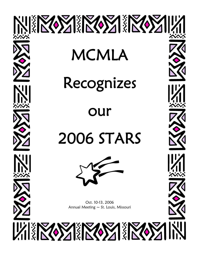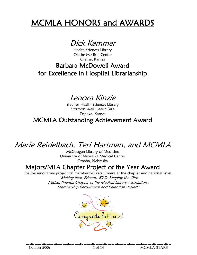# MCMLA HONORS and AWARDS

Dick Kammer

Health Sciences Library Olathe Medical Center Olathe, Kansas

## Barbara McDowell Award for Excellence in Hospital Librarianship

## Lenora Kinzie

Stauffer Health Sciences Library Stormont-Vail HealthCare Topeka, Kansas MCMLA Outstanding Achievement Award

# Marie Reidelbach, Teri Hartman, and MCMLA

McGoogan Library of Medicine University of Nebraska Medical Center Omaha, Nebraska

### Majors/MLA Chapter Project of the Year Award

for the innovative project on membership recruitment at the chapter and national level. "Making New Friends, While Keeping the Old: Midcontinental Chapter of the Medical Library Association's Membership Recruitment and Retention Project"



October 2006 1 of 14 MCMLA STARS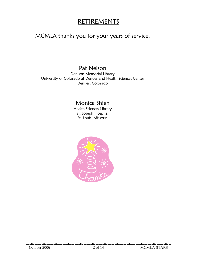### RETIREMENTS

### MCMLA thanks you for your years of service.

### Pat Nelson

Denison Memorial Library University of Colorado at Denver and Health Sciences Center Denver, Colorado

### Monica Shieh

Health Sciences Library St. Joseph Hospital St. Louis, Missouri

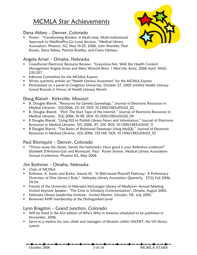## MCMLA Star Achievements

#### Dana Abbey – Denver, Colorado

 Poster: "Transforming Borders: A Multi-state, Multi-institutional Approach to MedlinePlus Go Local Services, "Medical Library Association, Phoenix, AZ, May 19-25, 2006. John Bramble, Paul Bracke, Dana Abbey, Patricia Bradley, and Claire Hamasu



#### Angela Arner – Omaha, Nebraska

- Coauthored Electronic Resource Review: "Greystone.Net, Web Site Health Content Management Angela Arner and Mary Wolcott-Breci. J Med Libr Assoc. 2006 April; 94(2): 235-237.
- **Editorial Committee for the MCMLA Express**
- **Wrote quarterly articles on "Health Literacy Awareness" for the MCMLA Express**
- Participated on a panel at Creighton University, October 27, 2005 entitled Health Literacy Grand Rounds in Honor of Health Literacy Month

#### Doug Blansit - Kirksville, Missouri

- B. Douglas Blansit. "Resources for Genetic Genealogy." Journal of Electronic Resources in Medical Libraries. 3(2)2006, 23–35. DOI: 10.1300/J383v03n02\_02
- B. Douglas Blansit. "Perl: The Duct Tape of the Internet." Journal of Electronic Resources in Medical Libraries. 3(2) 2006, 91-99. DOI: 10.1300/J383v03n02\_09
- **B Douglas Blansit. "Using RSS to Publish Library News and Information." Journal of Electronic** Resources in Medical Libraries. 3(1) 2006, 97- 104. DOI: 10.1300/J383v03n01\_11
- **B Douglas Blansit. "The Basics of Relational Databases Using MySQL." Journal of Electronic** Resources in Medical Libraries. 3(3) 2006, 135-148. DOI: 10.1300/J383v03n03\_10

#### Paul Blomquist – Denver, Colorado

 "Throw away the clicker, banish the hashmarks: How good is your Reference evidence?" Elizabeth D'Antonio-Gan and Blomquist, Paul. Poster Session. Medical Library Association Annual Conference, Phoenix AZ, May 2006

#### Jim Bothmer – Omaha, Nebraska

- **Chair of MCMLA**
- Bothmer, A. James and Burke, Jeanne M. "A Web-based PharmD Pathway: A Preliminary Overview of One Library's Role." Nebraska Library Association Quarterly. 37(3) Fall 2006, 29-34
- **Firiends of the University of Nebraska McGoogan Library of Medicine's Annual Meeting.** Invited Keynote Speaker. "The Crisis in Scholarly Communication", Omaha, August 2005.
- Nebraska Library Leadership Institute. Invited Mentor, Schuyler, NE, July 2005.
- **Renewed AHIP membership at the Distinguished Level**

#### Lynn Bragdon – Grand Junction, Colorado

- Will be listed in the 61st edition of Who's Who in America scheduled to be published in November, 2006.
- **Serve as a mentor for new chiefs and managers of libraries within VALNET, the VA library** system.

October 2006 3 of 14 MCMLA STARS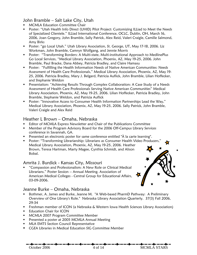John Bramble – Salt Lake City, Utah

- MCMLA Education Committee Chair
- Poster: "Utah Health Info Direct (UHID) Pilot Project: Customizing ILLiad to Meet the Needs of Specialized Clientele." ILLiad International Conference, OCLC, Dublin, OH, March 16, 2006, Joan Gregory, John Bramble, Sally Patrick, Alex Reid, Valeri Craigle, Camille Salmond, Amy Birks
- Poster: "go Local Utah." Utah Library Association, St. George, UT, May 17-18, 2006. Liz Workman, John Bramble, Camryn Wolfgang, and Jennie Morris
- Poster: "Transforming Borders: A Multi-state, Multi-institutional Approach to MedlinePlus Go Local Services, "Medical Library Association, Phoenix, AZ, May 19-25, 2006. John Bramble, Paul Bracke, Dana Abbey, Patricia Bradley, and Claire Hamasu
- Poster: "Fulfilling the Health Information Needs of Native American Communities: Needs Assessment of Health Care Professionals," Medical Library Association, Phoenix, AZ, May 19- 25, 2006. Patricia Bradley, Mary J. Belgard, Patricia Auflick, John Bramble, Lilian Hoffecker, and Stephanie Weldon
- **Presentation: "Achieving Results Through Complex Collaboration: A Case Study of a Needs** Assessment of Health Care Professionals Serving Native American Communities" Medical Library Association, Phoenix, AZ, May 19-25, 2006. Lilian Hoffecker, Patricia Bradley, John Bramble, Stephanie Weldon, and Patricia Auflick
- Poster: "Innovative Access to Consumer Health Information Partnerships Lead the Way," Medical Library Association, Phoenix, AZ, May 19-25, 2006. Sally Patrick, John Bramble, Valeri Craigle and Alex Reid

#### Heather L Brown – Omaha, Nebraska

- Editor of MCMLA Express Newsletter and Chair of the Publications Committee
- **Member of the Program Advisory Board for the 2006 Off-Campus Library Services** conference in Savannah, GA.
- Presented an electronic poster for same conference entitled "À la carte learning".
- Poster: "Transforming Librarianship: Librarians as Consumer Health Video Producers," Medical Library Association, Phoenix, AZ, May 19-25, 2006. Heather Brown, Teresa Hartman, Marty Magee, Cynthia Schmidt, and Alison Bobal.

#### Amrita J. Burdick - Kansas City, Missouri

 "Compassion and Professionalism: A New Role or Clinical Medical Librarians." Poster Session -- Annual Meeting. Association of American Medical Colleges - Central Group for Educational Affairs, 03-09-2006.

#### Jeanne Burke – Omaha, Nebraska

- Bothmer, A. James and Burke, Jeanne M. "A Web-based PharmD Pathway: A Preliminary Overview of One Library's Role." Nebraska Library Association Quarterly. 37(3) Fall 2006, 29-34
- **Filter 1** Freshman member of ICON (a Nebraska & Western Iowa Health Sciences Library Association)
- **Education Chair for ICON**
- **MCMLA 2007 Program Committee Member**
- Presented a poster at 2005 MCMLA Annual Meeting
- **MLA EMTS Section Council Representative**
- CGEA Libraries in Medical Education SIG Committee Member

October 2006 4 of 14 MCMLA STARS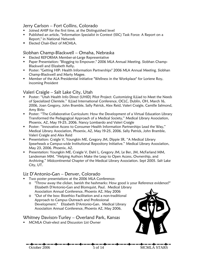#### Jerry Carlson – Fort Collins, Colorado

- **Joined AHIP for the first time, at the Distinguished level**
- Published an article, "Information Specialist in Context (ISIC) Task Force: A Report on a Report," in National Network
- **Elected Chair-Elect of MCMLA.**

#### Siobhan Champ-Blackwell – Omaha, Nebraska

- **Elected REFORMA Member-at-Large Representative**
- Paper Presentation: "Blogging to Empower." 2006 MLA Annual Meeting. Siobhan Champ-Blackwell and Elizabeth Kelly.
- Poster: "Getting HIP: Health Information Partnerships" 2006 MLA Annual Meeting. Siobhan Champ-Blackwell and Marty Magee.
- **Member of the ALA Presidential Initiative "Wellness in the Workplace" for Loriene Roy,** incoming President

#### Valeri Craigle – Salt Lake City, Utah

- **•** Poster: "Utah Health Info Direct (UHID) Pilot Project: Customizing ILLiad to Meet the Needs of Specialized Clientele." ILLiad International Conference, OCLC, Dublin, OH, March 16, 2006, Joan Gregory, John Bramble, Sally Patrick, Alex Reid, Valeri Craigle, Camille Salmond, Amy Birks
- Poster: "The Collaborative Curriculum: How the Development of a Virtual Education Library Transformed the Pedagogical Approach of a Medical Society," Medical Library Association, Phoenix, AZ, May 19-25, 2006. Nancy Lombardo and Valeri Craigle
- Poster: "Innovative Access to Consumer Health Information Partnerships Lead the Way," Medical Library Association, Phoenix, AZ, May 19-25, 2006. Sally Patrick, John Bramble, Valeri Craigle and Alex Reid
- **Presentation: Craigle V, Youngkin ME, Gregory JM, Dippie SR. "A Medical Library** Spearheads a Campus-wide Institutional Repository Initiative." Medical Library Association, May 23, 2006. Phoenix, AZ.
- **Presentation: Youngkin ME, Craigle V, Dahl L, Gregory JM, Le Ber, JM, McFarland MM,** Landesman MM. "Helping Authors Make the Leap to Open Access, Ownership, and Archiving." Midcontinental Chapter of the Medical Library Association. Sept 2005. Salt Lake City, UT.

#### Liz D'Antonio-Gan – Denver, Colorado

- **Two poster presentations at the 2006 MLA Conference:** 
	- o "Throw away the clicker, banish the hashmarks: How good is your Reference evidence?" Elizabeth D'Antonio-Gan and Blomquist, Paul. Medical Library Association Annual Conference, Phoenix AZ, May 2006
	- o "Out of the box: Bioethics Facilitation and a non-traditional Approach to Campus Outreach and Professional Development." Elizabeth D'Antonio-Gan. Medical Library Association Annual Conference, Phoenix AZ, May 2006.

#### Whitney Davison-Turley – Overland Park, Kansas

**MCMLA Chair-elect and Discussion List Owner** 



October 2006 5 of 14 MCMLA STARS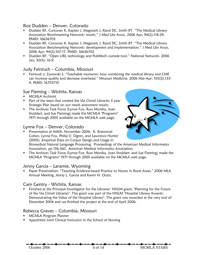#### Roz Dudden – Denver, Colorado

- Dudden RF, Corcoran K, Kaplan J, Magouirk J, Rand DC, Smith BT. "The Medical Library Association Benchmarking Network: results." J Med Libr Assoc. 2006 Apr; 94(2):118-29. PMID: 16636703
- Dudden RF, Corcoran K, Kaplan J, Magouirk J, Rand DC, Smith BT. "The Medical Library Association Benchmarking Network: development and implementation." J Med Libr Assoc. 2006 Apr; 94(2):107-17. PMID: 16636702
- Dudden RF. "Open URL technology and PubMed's outside tool." National Network. 2006 Jan; 30(3): 16-9.

#### Judy Feintuch – Columbia, Missouri

 Feintuch J; Zurowski S. "Teachable moments: how combining the medical library and CME can increase quality and decrease overhead." Missouri Medicine. 2006 Mar-Apr; 103(2):133- 4. PMID: 16703710

#### Sue Fleming – Wichita, Kansas

- MCMLA Archivist
- **Part of the team that created the Via Christi Libraries 5 year** Strategic Plan based on our needs assessment results.
- **The Archives Task Force (Lynne Fox, Russ Monika, Joan** Stoddart, and Sue Fleming) made the MCMLA "Programs" 1971 through 2005 available on the MCMLA web page.

#### Lynne Fox – Denver, Colorado

**Presentation at AMIA, November 2006: K. Bretonnel** Cohen, Lynne Fox, Philip V. Ogren, and Lawrence Hunter (2005). Empirical Data on Corpus Design and Usage in



Biomedical Natural Language Processing. Proceedings of the American Medical Informatics Association, pp 156-160. American Medical Informatics Association.

 The Archives Task Force (Lynne Fox, Russ Monika, Joan Stoddart, and Sue Fleming) made the MCMLA "Programs" 1971 through 2005 available on the MCMLA web page.

#### Jenny Garcia – Laramie, Wyoming

 Paper Presentation: "Teaching Evidence-based Practice to Nurses in Rural Areas." 2006 MLA Annual Meeting. Jenny L. Garcia and Karen N. Ouzts.

#### Cam Gentry - Wichita, Kansas

 Finished as the Principal Investigator for the Libraries' NNLM grant, "Planning for the Future of the Via Christi Libraries". This grant was part of the NNLM "Hospital Library Awards: Demonstrating the Value of the Hospital Library". The grant was awarded at the very end of December 2004 and we finished the project at the end of April 2006.

#### Rebecca Graves – Columbia, Missouri

- MCMLA Program Planner
- Appointed Joint Clinical Instructor in the School of Nursing

October 2006 6 of 14 MCMLA STARS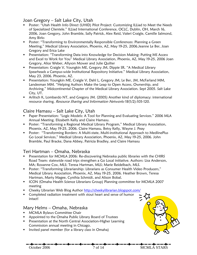Joan Gregory – Salt Lake City, Utah

- Poster: "Utah Health Info Direct (UHID) Pilot Project: Customizing ILLiad to Meet the Needs of Specialized Clientele." ILLiad International Conference, OCLC, Dublin, OH, March 16, 2006, Joan Gregory, John Bramble, Sally Patrick, Alex Reid, Valeri Craigle, Camille Salmond, Amy Birks
- **Poster: "Transforming to Environmentally Responsible Conferences: Planning a Green** Meeting," Medical Library Association, Phoenix, AZ, May 19-25, 2006.Jeanne Le Ber, Joan Gregory and Erica Lake
- **Presentation: "Transforming Data into Knowledge for Decision Making: Putting MS Access** and Excel to Work for You" Medical Library Association, Phoenix, AZ, May 19-25, 2006 Joan Gregory, Alice Weber, Allyson Mower and Julie Quilter
- Presentation: Craigle V, Youngkin ME, Gregory JM, Dippie SR. "A Medical Library Spearheads a Campus-wide Institutional Repository Initiative." Medical Library Association, May 23, 2006. Phoenix, AZ.
- **Presentation: Youngkin ME, Craigle V, Dahl L, Gregory JM, Le Ber, JM, McFarland MM,** Landesman MM. "Helping Authors Make the Leap to Open Access, Ownership, and Archiving." Midcontinental Chapter of the Medical Library Association. Sept 2005. Salt Lake City, UT.
- Arlitsch K, Lombardo NT, and Gregory JM. (2005) Another kind of diplomacy: international resource sharing. Resource Sharing and Information Networks 18(1/2):105-120.

#### Claire Hamasu – Salt Lake City, Utah

- Paper Presentation: "Logic Models: A Tool for Planning and Evaluating Services." 2006 MLA Annual Meeting. Elizabeth Kelly and Claire Hamasu.
- Poster: "Transforming a Regional Medical Library Program," Medical Library Association, Phoenix, AZ, May 19-25, 2006. Claire Hamasu, Betsy Kelly, Wayne J. Peay
- Poster: "Transforming Borders: A Multi-state, Multi-institutional Approach to MedlinePlus Go Local Services," Medical Library Association, Phoenix, AZ, May 19-25, 2006. John Bramble, Paul Bracke, Dana Abbey, Patricia Bradley, and Claire Hamasu

#### Teri Hartman – Omaha, Nebraska

- Presentation for MCMLA 2006: Re-discovering Nebraska public libraries with the CHIRS Road Team: statewide road trips strengthen a Go Local initiative. Authors: Lisa Anderson, MA; Roxanne Cox, MLS; Teresa Hartman, MLS; Marie Reidelbach, MLS.
- Poster: "Transforming Librarianship: Librarians as Consumer Health Video Producers," Medical Library Association, Phoenix, AZ, May 19-25, 2006. Heather Brown, Teresa Hartman, Marty Magee, Cynthia Schmidt, and Alison Bobal.
- **ICON (Omaha Health Science Librarians Group) Planning committee for MCMLA 2007** meeting
- **EXP** Cheeky Librarian Web Blog Author<http://cheekylibrarian.blogspot.com/>
- **Completed radiation treatment with stout heart and sense of humor** intact!

#### Mary Helms – Omaha, Nebraska

- **MCMLA Bylaws Committee Chair**
- **Appointed to the Omaha Public Library Board of Trustees**
- **Presentation at the North Central Association-Higher Learning** Commission annual meeting in Chicago.
- **I** Invited panel member (for a library class in Omaha)

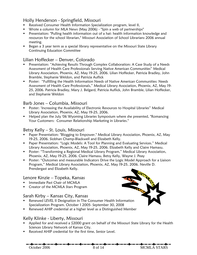#### Holly Henderson - Springfield, Missouri

- Received Consumer Health Information Specialization program, level II,
- Wrote a column for MLA News (May 2006) "Spin a web of partnerships"
- Presentation: "Pulling health information out of a hat: health information knowledge and resources for the school librarian," Missouri Association of School Librarians 2006 annual meeting.
- Began a 3 year term as a special library representative on the Missouri State Library Continuing Education Committee

#### Lilian Hoffecker – Denver, Colorado

- Presentation: "Achieving Results Through Complex Collaboration: A Case Study of a Needs Assessment of Health Care Professionals Serving Native American Communities" Medical Library Association, Phoenix, AZ, May 19-25, 2006. Lilian Hoffecker, Patricia Bradley, John Bramble, Stephanie Weldon, and Patricia Auflick
- **Poster: "Fulfilling the Health Information Needs of Native American Communities: Needs** Assessment of Health Care Professionals," Medical Library Association, Phoenix, AZ, May 19- 25, 2006. Patricia Bradley, Mary J. Belgard, Patricia Auflick, John Bramble, Lilian Hoffecker, and Stephanie Weldon

#### Barb Jones – Columbia, Missouri

- Poster: 'Increasing the Availability of Electronic Resources to Hospital Libraries" Medical Library Association, Phoenix, AZ, May 19-25, 2006.
- **Helped plan the July '06 Wyoming Libraries Symposium where she presented, "Romancing"** Your Customers: Consumer Relationship Marketing in Libraries."

#### Betsy Kelly – St. Louis, Missouri

- Paper Presentation: "Blogging to Empower." Medical Library Association, Phoenix, AZ, May 19-25, 2006. Siobhan Champ-Blackwell and Elizabeth Kelly.
- **Paper Presentation: "Logic Models: A Tool for Planning and Evaluating Services." Medical** Library Association, Phoenix, AZ, May 19-25, 2006. Elizabeth Kelly and Claire Hamasu.
- **Poster: "Transforming a Regional Medical Library Program," Medical Library Association,** Phoenix, AZ, May 19-25, 2006. Claire Hamasu, Betsy Kelly, Wayne J. Peay
- Poster: "Outcomes and measurable Indicators Drive the Logic Model Approach for a Liaison Program," Medical Library Association, Phoenix, AZ, May 19-25, 2006. Neville D. Prendergast and Elizabeth Kelly.

#### Lenore Kinzie – Topeka, Kansas

- **Immediate Past Chair of MCMLA**
- **Creator of the MCMLA Stars Program**

#### Sarah Kirby – Kansas City, Kansas

- **Renewed LEVEL II Designation in The Consumer Health Information** Specialization Program. October 1 2005- September 30, 2008
- Renewed AHIP credential at a higher level as a Distinguished Member

#### Kelly Klinke - Liberty, Missouri

- Applied for and received a \$2000 grant on behalf of the Missouri State Library for the Health Sciences Library Network of Kansas City.
- Received AHIP credential for the first time, Senior Level.



October 2006 8 of 14 MCMLA STARS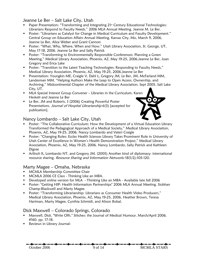Jeanne Le Ber – Salt Lake City, Utah

- Paper Presentation: "Transforming and Integrating 21<sup>st</sup> Century Educational Technologies: Librarians Respond to Faculty Needs." 2006 MLA Annual Meeting. Jeanne M. Le Ber.
- **Poster: "Librarians as Catalyst for Change in Medical Curriculum and Faculty Development."** Central Group on Education Affairs Annual Meeting, Kansas City, Mo, March 9, 2006, Jeanne Le Ber, Alice Weber and Grant Cannon
- Poster: "What, Why, Where, When and How." Utah Library Association, St. George, UT, May 17-18, 2006. Jeanne Le Ber and Sally Patrick
- **Poster: "Transforming to Environmentally Responsible Conferences: Planning a Green** Meeting," Medical Library Association, Phoenix, AZ, May 19-25, 2006.Jeanne Le Ber, Joan Gregory and Erica Lake
- **Poster: "Transition to the Latest Teaching Technologies: Responding to Faculty Needs,"** Medical Library Association, Phoenix, AZ, May 19-25, 2006.Jeanne Le Ber
- **Presentation: Youngkin ME, Craigle V, Dahl L, Gregory JM, Le Ber, JM, McFarland MM,** Landesman MM. "Helping Authors Make the Leap to Open Access, Ownership, and Archiving." Midcontinental Chapter of the Medical Library Association. Sept 2005. Salt Lake City, UT.
- MLA Special Interest Group Convener Libraries in the Curriculum. Karen Heskett and Jeanne Le Ber
- Le Ber, JM and Roberts, S (2006) Creating Powerful Poster Presentations. Journal of Hospital Librarianship 6(3) [accepted for publication].



### Nancy Lombardo – Salt Lake City, Utah

- **Poster: "The Collaborative Curriculum: How the Development of a Virtual Education Library** Transformed the Pedagogical Approach of a Medical Society," Medical Library Association, Phoenix, AZ, May 19-25, 2006. Nancy Lombardo and Valeri Craigle
- Poster: "Changing Roles: Eccles Health Sciences Library Takes Prominent Role in University of Utah Center of Excellence in Women's Health Demonstration Project," Medical Library Association, Phoenix, AZ, May 19-25, 2006. Nancy Lombardo, Sally Patrick and Kathleen Digree
- Arlitsch K, Lombardo NT, and Gregory JM. (2005) Another kind of diplomacy: international resource sharing. Resource Sharing and Information Networks 18(1/2):105-120.

#### Marty Magee – Omaha, Nebraska

- **MCMLA Membership Committee Chair**
- **MCMLA 2006 CE Class Thinking Like an MBA.**
- **Developed online version for MLA** Thinking Like an MBA Available late fall 2006
- Poster: "Getting HIP: Health Information Partnerships" 2006 MLA Annual Meeting. Siobhan Champ-Blackwell and Marty Magee.
- Poster: "Transforming Librarianship: Librarians as Consumer Health Video Producers," Medical Library Association, Phoenix, AZ, May 19-25, 2006. Heather Brown, Teresa Hartman, Marty Magee, Cynthia Schmidt, and Alison Bobal.

#### Dick Maxwell – Colorado Springs, Colorado

- Maxwell, Dick. "Write Offs." Stitches: the Journal of Medical Humour. March/April 2006. #160. pp. 17-18.
- **Reviews in Library Journal:**

October 2006 9 of 14 MCMLA STARS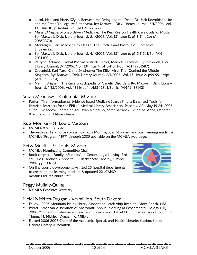- o Nicol, Neal and Harry Wylie. Between the Dying and the Dead: Dr. Jack Kevorkian's Life and the Battle To Legalize Euthanasia. By: Maxwell, Dick. Library Journal, 6/1/2006, Vol. 131 Issue 10, p142-144, 2p; (AN 21072672)
- o Mahar, Maggie. Money-Driven Medicine: The Real Reason Health Care Costs So Much. By: Maxwell, Dick. Library Journal, 5/1/2006, Vol. 131 Issue 8, p113-114, 2p; (AN 20853370)
- o Montaigne, Fen. Medicine by Design: The Practice and Promise of Biomedical Engineering.
- o By: Maxwell, Dick. Library Journal, 4/1/2006, Vol. 131 Issue 6, p115-115, 1/6p; (AN 20313004)
- o Petryna, Adriana. Global Pharmaceuticals: Ethics, Markets, Practices. By: Maxwell, Dick. Library Journal, 3/1/2006, Vol. 131 Issue 4, p110-110, 1/6p; (AN 19901587)
- o Greenfeld, Karl Taro. China Syndrome: The Killer Virus That Crashed the Middle Kingdom. By: Maxwell, Dick. Library Journal, 2/1/2006, Vol. 131 Issue 2, p99-99, 1/4p; (AN 19536961)
- o Narins, Brigham. The Gale Encyclopedia of Genetic Disorders. By: Maxwell, Dick. Library Journal, 1/15/2006, Vol. 131 Issue 1, p158-158, 1/3p, 1c; (AN 19438142)

#### Susan Meadows – Columbia, Missouri

 Poster: "Transformation of Evidence-based Medicine Search Filters: Enhanced Tools for librarian Searchers for the FPIN," Medical Library Association, Phoenix, AZ, May 19-25, 2006. Susan E. Meadows, Karen Knight, Joan Nashelsky, Sarah Safranek, Leilani St. Anna, Deborah Ward, and FPIN library team.

#### Russ Monika – St. Louis, Missouri

- **MCMLA Website Editor**
- The Archives Task Force (Lynne Fox, Russ Monika, Joan Stoddart, and Sue Fleming) made the MCMLA "Programs" 1971 through 2005 available on the MCMLA web page.

#### Betsy Mueth – St. Louis, Missouri

- **MCMLA Nominating Committee Chair**
- **Book chapter: "Family Influences" in Gerontologic Nursing, 3rd** ed. Sue E. Meiner & Annette G. Lueckenotte. Mosby/Elsevier, 2006. pp. 113-161
- **•** On-line course development: Assisted 25 hospital departments to create online learning modules & updated 22 JCAHO modules for the entire staff.

#### Peggy Mullaly-Quijas

**MCMLA Executive Secretary** 

#### Heidi Nickisch-Duggan - Vermillion, South Dakota

- Fellow, 2005 Mountain Plains Library Association Leadership Institute, Ghost Ranch, NM
- **Poster, American Association of Anatomists Annual Meeting at Experimental Biology (EB)** 2006. "Student-initiated versus teacher-initiated use of Tablet PCs in medical education." B.G. Timms, H. Nickisch Duggan, R. Miller.
- Elected 2006-2007 Chair of the Academic, Special, and Health Libraries Section, South Dakota Library Association



October 2006 10 of 14 MCMLA STARS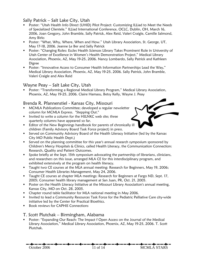#### Sally Patrick – Salt Lake City, Utah

- Poster: "Utah Health Info Direct (UHID) Pilot Project: Customizing ILLiad to Meet the Needs of Specialized Clientele." ILLiad International Conference, OCLC, Dublin, OH, March 16, 2006, Joan Gregory, John Bramble, Sally Patrick, Alex Reid, Valeri Craigle, Camille Salmond, Amy Birks
- Poster: "What, Why, Where, When and How." Utah Library Association, St. George, UT, May 17-18, 2006. Jeanne Le Ber and Sally Patrick
- Poster: "Changing Roles: Eccles Health Sciences Library Takes Prominent Role in University of Utah Center of Excellence in Women's Health Demonstration Project," Medical Library Association, Phoenix, AZ, May 19-25, 2006. Nancy Lombardo, Sally Patrick and Kathleen Digree
- Poster: "Innovative Access to Consumer Health Information Partnerships Lead the Way," Medical Library Association, Phoenix, AZ, May 19-25, 2006. Sally Patrick, John Bramble, Valeri Craigle and Alex Reid

#### Wayne Peay – Salt Lake City, Utah

 Poster: "Transforming a Regional Medical Library Program," Medical Library Association, Phoenix, AZ, May 19-25, 2006. Claire Hamasu, Betsy Kelly, Wayne J. Peay

#### Brenda R. Pfannenstiel - Kansas City, Missouri

- MCMLA Publications Committee; developed a regular newsletter column for MCMLA Express. "Stepping Out."
- **IF Invited to write a column for the HSLNKC web site; three** quarterly columns have appeared so far.
- **Editor of the New Beginnings handbook for parents of chronically ill** children (Family Advisory Board Task Force project) in press.
- **Served on Community Advisory Board of the Health Literacy Initiative (led by the Kansas** City MO Public Health Dept.)
- Served on the planning committee for this year's annual research symposium sponsored by Children's Mercy Hospitals & Clinics, called Health Literacy, the Communication Connection: Research, Quality and Patient Outcomes.
- Spoke briefly at the Sept. 15th symposium advocating the partnership of librarians, clinicians, and researchers on this issue, arranged MLA CE for this interdisciplinary program, and exhibited extensively at the program on health literacy.
- Taught two CE courses at the MLA annual meeting: Research for Beginners, May 19, 2006; Consumer Health Libraries Management, May 24, 2006.
- Taught CE courses at chapter MLA meetings: Research for Beginners at Fargo ND, Sept. 17, 2005; Consumer health library management at San Juan, PR, Oct. 21, 2005.
- **Poster on the Health Literacy Initiative at the Missouri Library Association's annual meeting,** Kansas City, MO on Oct. 28, 2005.
- **EXP** Chapter round table facilitator for MLA national meeting in May 2006.
- **Invited to lead a Community Resources Task Force for the Pediatric Palliative Care city-wide** initiative led by the Center for Practical Bioethics.
- **Book reviews for CAPHIS Connections**

#### T. Scott Plutchak – Birmingham, Alabama

**Poster: "Expanding Our Reach: The Impact f Open Access on the Journal of the Medical** Library Association," Medical Library Association, Phoenix, AZ, May 19-25, 2006. T. Scott Plutchak.



October 2006 11 of 14 MCMLA STARS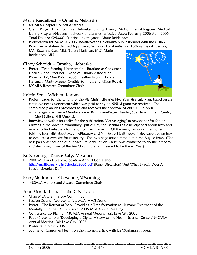### Marie Reidelbach – Omaha, Nebraska

- MCMLA Chapter Council Alternate
- Grant: Project Title: Go Local Nebraska Funding Agency: Midcontinental Regional Medical Library Program/National Network of Libraries. Effective Dates: February 2006-April 2006. Total Dollars: \$25,000. Principal Investigator: Marie Reidelbach
- **Presentation for MCMLA 2006: Re-discovering Nebraska public libraries with the CHIRS** Road Team: statewide road trips strengthen a Go Local initiative. Authors: Lisa Anderson, MA; Roxanne Cox, MLS; Teresa Hartman, MLS; Marie Reidelbach, MLS.

#### Cindy Schmidt – Omaha, Nebraska

- Poster: "Transforming Librarianship: Librarians as Consumer Health Video Producers," Medical Library Association, Phoenix, AZ, May 19-25, 2006. Heather Brown, Teresa Hartman, Marty Magee, Cynthia Schmidt, and Alison Bobal.
- **MCMLA Research Committee Chair**

#### Kristin Sen – Wichita, Kansas



- Project leader for the writing of the Via Christi Libraries Five Year Strategic Plan, based on an extensive needs assessment which was paid for by an NNLM grant we received. The completed plan was presented to and received the approval of our CEO in April.
	- o Strategic Plan Team Members were: Kristin Sen-Project Leader, Sue Fleming, Cam Gentry, Cheri Sellers, Phil Omenski
- **I.** Interviewed with a journalist for the publication, "Active Aging" (a newspaper for Senior Citizens in the Wichita community--put out by the Wichita Eagle newspaper) about how and where to find reliable information on the Internet. Of the many resources mentioned, I told the journalist about MedlinePlus.gov and NIHSeniorHealth.gov. I also gave tips on how to evaluate a web site for reliability. The two page article came out in the August issue. (The best part was that one of our Vice Presidents at Via Christi was contacted to do the interview and she thought one of the Via Christi librarians needed to be there. Yay!)

#### Kitty Serling - Kansas City, Missouri

 2006 Missouri Library Association Annual Conference. <http://molib.org/PrelimSchedule2006.pdf>(Panel Discussion) "Just What Exactly Does A Special Librarian Do?"

#### Kerry Skidmore – Cheyenne, Wyoming

MCMLA Honors and Awards Committee Chair

#### Joan Stoddart – Salt Lake City, Utah

- **-** Chair MLA Oral History Committee
- **EXECTION COUNCIL Representative, MLA, HHSS Section**
- Poster: "The Retreat at York: Providing a Transformation to Humane Treatment of the Mentally Ill in the 19<sup>th</sup> Century." 2006 MLA Annual Meeting.
- **Conference Co-Planner: MCMLA Annual Meeting, Salt Lake City 2006**
- **Paper Presentation: "Developing a Digital History of the Health Sciences Center." MCMLA** Annual Meeting, Salt Lake City, 2005.
- **Poster at Infofair, 2006**
- **Journal of Consumer Health on the Internet, article with Liz Workman in press.**

October 2006 12 of 14 MCMLA STARS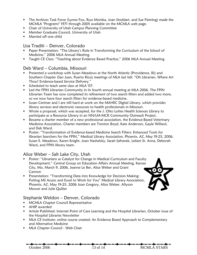- The Archives Task Force (Lynne Fox, Russ Monika, Joan Stoddart, and Sue Fleming) made the MCMLA "Programs" 1971 through 2005 available on the MCMLA web page.
- **EXEC** Chair of University of Utah Campus Planning Committee
- **Member Graduate Council, University of Utah**
- **Married off one child**

#### Lisa Traditi – Denver, Colorado

- Paper Presentation: "The Library's Role in Transforming the Curriculum of the School of Medicine," 2006 MLA Annual Meeting.
- **Taught CE Class: "Teaching about Evidence Based Practice," 2006 MLA Annual Meeting.**

#### Deb Ward – Columbia, Missouri

- Presented a workshop with Susan Meadows at the North Atlantic (Providence, RI) and Southern Chapter (San Juan, Puerto Rico) meetings of MLA last fall: "Oh Librarian, Where Art Thou? Evidence-based Service Delivery."
- **Scheduled to teach same class at MLA '07.**
- **EXECT 10** Led the FPIN Librarian Community in its fourth annual meeting at MLA 2006. The FPIN Librarian Team has now completed its refinement of two search filters and added two more, so we now have four search filters for evidence-based medicine.
- **Susan Centner and I are still hard at work on the MAHEC Digital Library, which provides** library services and electronic resources to health professionals in Missouri.
- Wrote a proposal, which was accepted, for the J. Otto Lottes Health Sciences Library to participate as a Resource Library in an NN/LM-MCR Community Outreach Project.
- Became a charter member of a new professional association, the Evidence-Based Veterinary Medicine Association. Charter members are Trenton Boyd, Kate Anderson, Gayle Willard, and Deb Ward.
- Poster: "Transformation of Evidence-based Medicine Search Filters: Enhanced Tools for librarian Searchers for the FPIN," Medical Library Association, Phoenix, AZ, May 19-25, 2006. Susan E. Meadows, Karen Knight, Joan Nashelsky, Sarah Safranek, Leilani St. Anna, Deborah Ward, and FPIN library team.

#### Alice Weber – Salt Lake City, Utah

- Poster: "Librarians as Catalyst for Change in Medical Curriculum and Faculty Development." Central Group on Education Affairs Annual Meeting, Kansas City, Mo, March 9, 2006, Jeanne Le Ber, Alice Weber and Grant Cannon
- **Presentation: "Transforming Data into Knowledge for Decision Making:** Putting MS Access and Excel to Work for You" Medical Library Association, Phoenix, AZ, May 19-25, 2006 Joan Gregory, Alice Weber, Allyson Mower and Julie Quilter

#### Stephanie Weldon – Denver, Colorado

- **MCMLA Chapter Council Representative**
- AHIP awarded
- Article Published: Internet Point of Care Learning and the Hospital Librarian, October issue of the Hospital Libraries Newsletter
- **MLA CE Institute: online course created: An Evidence Based Approach to Complementary** and Alternative Medicine
- **MLA Chapter Council Web Chair**

October 2006 13 of 14 MCMLA STARS